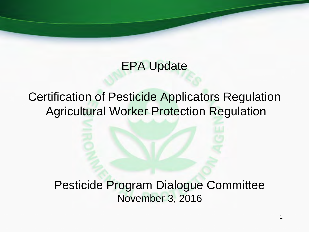### EPA Update

### Certification of Pesticide Applicators Regulation Agricultural Worker Protection Regulation

Pesticide Program Dialogue Committee November 3, 2016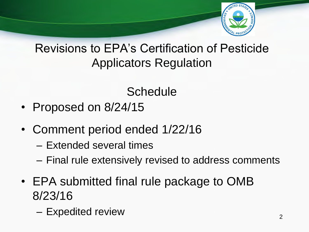

### Revisions to EPA's Certification of Pesticide Applicators Regulation

**Schedule** 

- Proposed on 8/24/15
- Comment period ended 1/22/16
	- Extended several times
	- Final rule extensively revised to address comments
- EPA submitted final rule package to OMB 8/23/16
	- Expedited review 2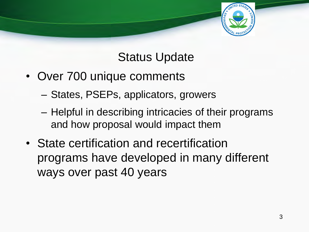

### Status Update

- Over 700 unique comments
	- States, PSEPs, applicators, growers
	- Helpful in describing intricacies of their programs and how proposal would impact them
- State certification and recertification programs have developed in many different ways over past 40 years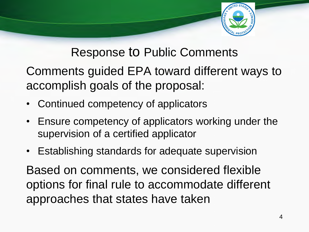

### Response to Public Comments

Comments guided EPA toward different ways to accomplish goals of the proposal:

- Continued competency of applicators
- Ensure competency of applicators working under the supervision of a certified applicator
- Establishing standards for adequate supervision

Based on comments, we considered flexible options for final rule to accommodate different approaches that states have taken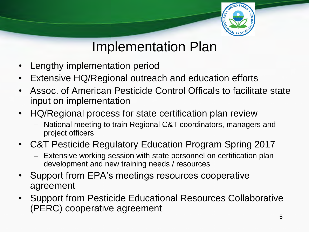

# Implementation Plan

- Lengthy implementation period
- Extensive HQ/Regional outreach and education efforts
- Assoc. of American Pesticide Control Officals to facilitate state input on implementation
- HQ/Regional process for state certification plan review
	- National meeting to train Regional C&T coordinators, managers and project officers
- C&T Pesticide Regulatory Education Program Spring 2017
	- Extensive working session with state personnel on certification plan development and new training needs / resources
- Support from EPA's meetings resources cooperative agreement
- Support from Pesticide Educational Resources Collaborative (PERC) cooperative agreement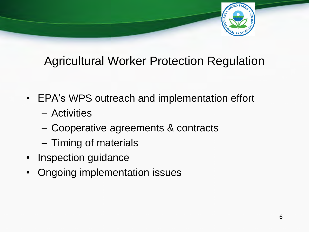

## Agricultural Worker Protection Regulation

- EPA's WPS outreach and implementation effort
	- Activities
	- Cooperative agreements & contracts
	- Timing of materials
- Inspection guidance
- Ongoing implementation issues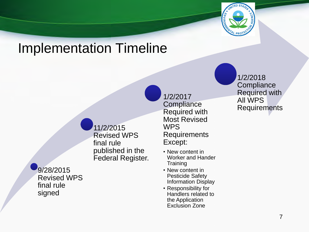

## Implementation Timeline

11/2/2015 Revised WPS final rule published in the Federal Register. 1/2/2017

WPS

Except:

**Training** 

**Compliance** Required with Most Revised

Requirements

• New content in

• New content in Pesticide Safety Information Display • Responsibility for Handlers related to the Application Exclusion Zone

Worker and Hander

9/28/2015 Revised WPS final rule signed

1/2/2018 **Compliance** Required with All WPS **Requirements**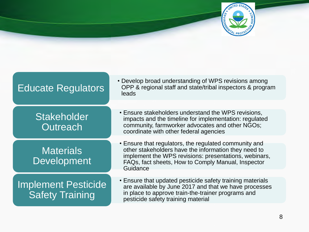

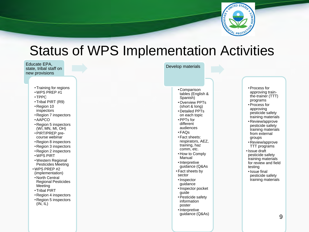

## Status of WPS Implementation Activities

Educate EPA, state, tribal staff on new provisions

- •Training for regions
- •WPS PREP #1
- •TPPC
- •Tribal PIRT (R9)
- •Region 10 inspectors
- •Region 7 inspectors •AAPCO
- •Region 5 inspectors (WI, MN, MI, OH)
- •PIRT/PREP precourse webinar
- •Region 8 inspectors
- •Region 3 inspectors
- •Region 2 inspectors
- •WPS PIRT
- •Western Regional Pesticides Meeting
- •WPS PREP #2 (implementation)
- •North Central Regional Pesticides Meeting
- •Tribal PIRT
- •Region 4 inspectors
- •Region 5 inspectors (IN, IL)

#### Develop materials

- •Comparison tables (English & Spanish)
- •Overview PPTs (short & long)
- •Detailed PPTs on each topic
- •PPTs for different audiences
- •FAQs
- •Fact sheets: respirators, AEZ, training, haz comm, etc.
- •How to Comply Manual
- •Interpretive guidance (Q&As
- Fact sheets by sector
- •Inspector guidance
- •Inspector pocket guide
- •Pesticide safety information poster
- •Interpretive guidance (Q&As)
- •Process for approving trainthe-trainer (TTT) programs
- •Process for approving pesticide safety training materials
- •Review/approve pesticide safety training materials from external groups
- •Review/approve TTT programs
- •Issue draft pesticide safety training materials for review and field testing
- •Issue final pesticide safety training materials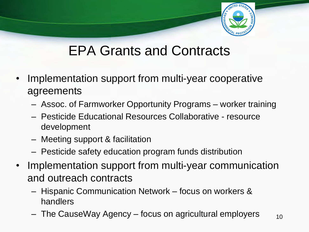

# EPA Grants and Contracts

- Implementation support from multi-year cooperative agreements
	- Assoc. of Farmworker Opportunity Programs worker training
	- Pesticide Educational Resources Collaborative resource development
	- Meeting support & facilitation
	- Pesticide safety education program funds distribution
- Implementation support from multi-year communication and outreach contracts
	- Hispanic Communication Network focus on workers & handlers
	- The CauseWay Agency focus on agricultural employers  $_{10}$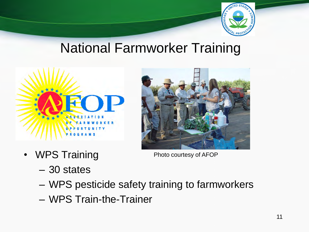

## National Farmworker Training





• WPS Training

Photo courtesy of AFOP

- 30 states
- WPS pesticide safety training to farmworkers
- WPS Train-the-Trainer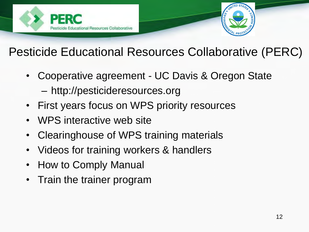



## Pesticide Educational Resources Collaborative (PERC)

- Cooperative agreement UC Davis & Oregon State – http://pesticideresources.org
- First years focus on WPS priority resources
- WPS interactive web site
- Clearinghouse of WPS training materials
- Videos for training workers & handlers
- How to Comply Manual
- Train the trainer program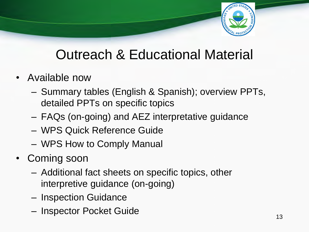

# Outreach & Educational Material

- Available now
	- Summary tables (English & Spanish); overview PPTs, detailed PPTs on specific topics
	- FAQs (on-going) and AEZ interpretative guidance
	- WPS Quick Reference Guide
	- WPS How to Comply Manual
- Coming soon
	- Additional fact sheets on specific topics, other interpretive guidance (on-going)
	- Inspection Guidance
	- Inspector Pocket Guide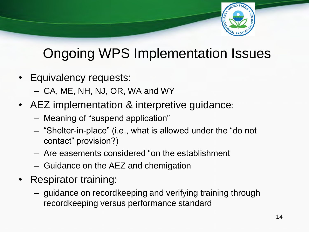

# Ongoing WPS Implementation Issues

- Equivalency requests:
	- CA, ME, NH, NJ, OR, WA and WY
- AEZ implementation & interpretive guidance:
	- Meaning of "suspend application"
	- "Shelter-in-place" (i.e., what is allowed under the "do not contact" provision?)
	- Are easements considered "on the establishment
	- Guidance on the AEZ and chemigation
- Respirator training:
	- guidance on recordkeeping and verifying training through recordkeeping versus performance standard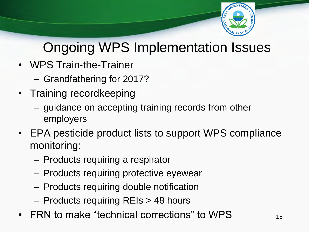

# Ongoing WPS Implementation Issues

- WPS Train-the-Trainer
	- Grandfathering for 2017?
- Training recordkeeping
	- guidance on accepting training records from other employers
- EPA pesticide product lists to support WPS compliance monitoring:
	- Products requiring a respirator
	- Products requiring protective eyewear
	- Products requiring double notification
	- Products requiring REIs > 48 hours
- FRN to make "technical corrections" to WPS  $15$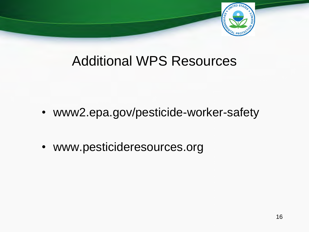

## Additional WPS Resources

- www2.epa.gov/pesticide-worker-safety
- www.pesticideresources.org